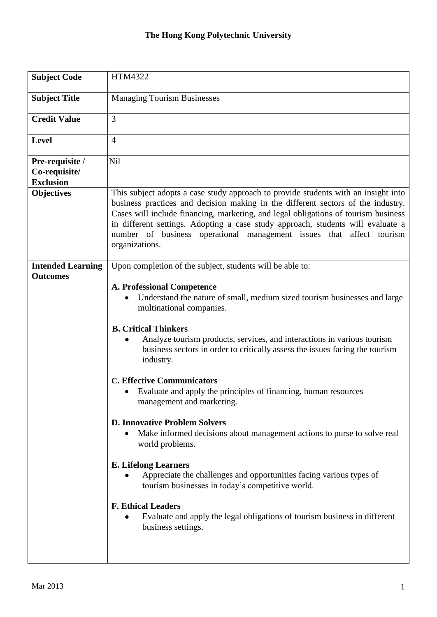## **The Hong Kong Polytechnic University**

| <b>Subject Code</b>                                  | HTM4322                                                                                                                                                                                                                                                                                                                                                                                                                                                                                                                                                                                                                                                                                                                                                                                                                                                                                                                                                                                                 |
|------------------------------------------------------|---------------------------------------------------------------------------------------------------------------------------------------------------------------------------------------------------------------------------------------------------------------------------------------------------------------------------------------------------------------------------------------------------------------------------------------------------------------------------------------------------------------------------------------------------------------------------------------------------------------------------------------------------------------------------------------------------------------------------------------------------------------------------------------------------------------------------------------------------------------------------------------------------------------------------------------------------------------------------------------------------------|
| <b>Subject Title</b>                                 | <b>Managing Tourism Businesses</b>                                                                                                                                                                                                                                                                                                                                                                                                                                                                                                                                                                                                                                                                                                                                                                                                                                                                                                                                                                      |
| <b>Credit Value</b>                                  | 3                                                                                                                                                                                                                                                                                                                                                                                                                                                                                                                                                                                                                                                                                                                                                                                                                                                                                                                                                                                                       |
| <b>Level</b>                                         | $\overline{4}$                                                                                                                                                                                                                                                                                                                                                                                                                                                                                                                                                                                                                                                                                                                                                                                                                                                                                                                                                                                          |
| Pre-requisite /<br>Co-requisite/<br><b>Exclusion</b> | Nil                                                                                                                                                                                                                                                                                                                                                                                                                                                                                                                                                                                                                                                                                                                                                                                                                                                                                                                                                                                                     |
| <b>Objectives</b>                                    | This subject adopts a case study approach to provide students with an insight into<br>business practices and decision making in the different sectors of the industry.<br>Cases will include financing, marketing, and legal obligations of tourism business<br>in different settings. Adopting a case study approach, students will evaluate a<br>number of business operational management issues that affect tourism<br>organizations.                                                                                                                                                                                                                                                                                                                                                                                                                                                                                                                                                               |
| <b>Intended Learning</b><br><b>Outcomes</b>          | Upon completion of the subject, students will be able to:<br><b>A. Professional Competence</b><br>Understand the nature of small, medium sized tourism businesses and large<br>$\bullet$<br>multinational companies.<br><b>B. Critical Thinkers</b><br>Analyze tourism products, services, and interactions in various tourism<br>business sectors in order to critically assess the issues facing the tourism<br>industry.<br><b>C. Effective Communicators</b><br>• Evaluate and apply the principles of financing, human resources<br>management and marketing.<br><b>D. Innovative Problem Solvers</b><br>Make informed decisions about management actions to purse to solve real<br>٠<br>world problems.<br><b>E. Lifelong Learners</b><br>Appreciate the challenges and opportunities facing various types of<br>tourism businesses in today's competitive world.<br><b>F. Ethical Leaders</b><br>Evaluate and apply the legal obligations of tourism business in different<br>business settings. |